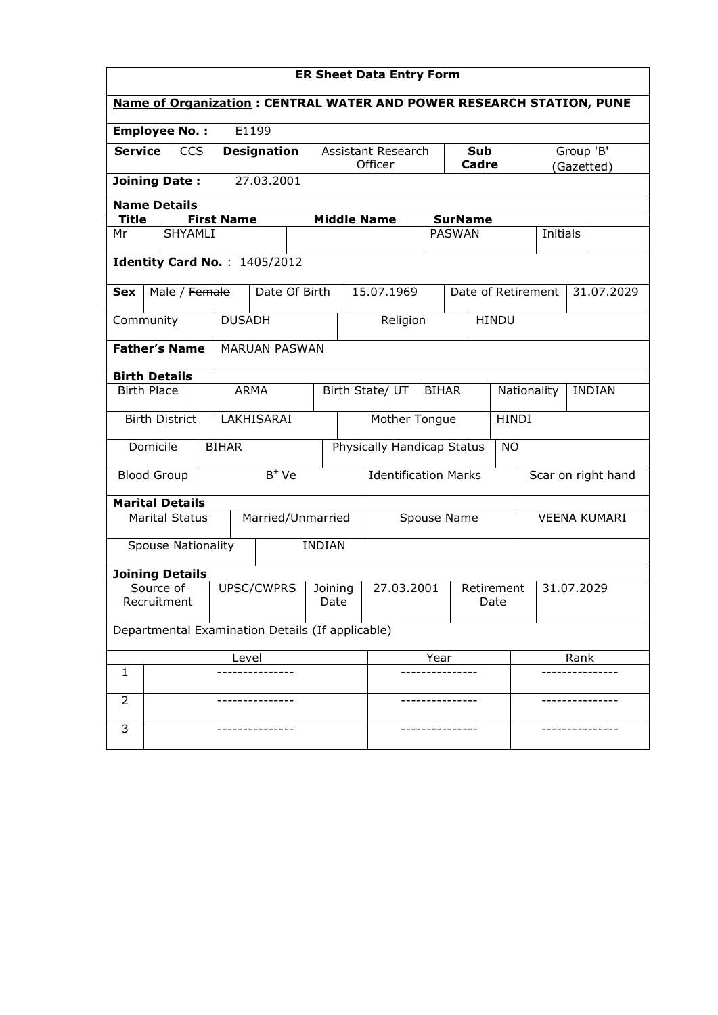|                                                                             | <b>ER Sheet Data Entry Form</b>              |  |                |                   |                              |                                         |                                 |                               |      |                     |                          |                              |      |            |
|-----------------------------------------------------------------------------|----------------------------------------------|--|----------------|-------------------|------------------------------|-----------------------------------------|---------------------------------|-------------------------------|------|---------------------|--------------------------|------------------------------|------|------------|
| <b>Name of Organization: CENTRAL WATER AND POWER RESEARCH STATION, PUNE</b> |                                              |  |                |                   |                              |                                         |                                 |                               |      |                     |                          |                              |      |            |
| <b>Employee No.:</b>                                                        |                                              |  |                |                   | E1199                        |                                         |                                 |                               |      |                     |                          |                              |      |            |
| <b>Service</b>                                                              |                                              |  | <b>CCS</b>     |                   | <b>Designation</b>           |                                         |                                 | Assistant Research<br>Officer |      | <b>Sub</b><br>Cadre |                          |                              |      | Group 'B'  |
| <b>Joining Date:</b>                                                        |                                              |  |                |                   | 27.03.2001                   |                                         |                                 |                               |      |                     |                          |                              |      | (Gazetted) |
|                                                                             | <b>Name Details</b>                          |  |                |                   |                              |                                         |                                 |                               |      |                     |                          |                              |      |            |
| <b>Title</b>                                                                |                                              |  |                | <b>First Name</b> |                              |                                         |                                 | <b>Middle Name</b>            |      | <b>SurName</b>      |                          |                              |      |            |
| Mr                                                                          |                                              |  | <b>SHYAMLI</b> |                   |                              |                                         |                                 |                               |      | <b>PASWAN</b>       |                          | Initials                     |      |            |
|                                                                             |                                              |  |                |                   | Identity Card No.: 1405/2012 |                                         |                                 |                               |      |                     |                          |                              |      |            |
| <b>Sex</b>                                                                  |                                              |  | Male / Female  |                   | Date Of Birth                |                                         |                                 | 15.07.1969                    |      |                     |                          | Date of Retirement           |      | 31.07.2029 |
| Community                                                                   |                                              |  |                | <b>DUSADH</b>     |                              |                                         |                                 | Religion                      |      |                     | <b>HINDU</b>             |                              |      |            |
|                                                                             | <b>Father's Name</b><br><b>MARUAN PASWAN</b> |  |                |                   |                              |                                         |                                 |                               |      |                     |                          |                              |      |            |
| <b>Birth Details</b>                                                        |                                              |  |                |                   |                              |                                         |                                 |                               |      |                     |                          |                              |      |            |
| <b>Birth Place</b>                                                          |                                              |  |                |                   | <b>ARMA</b>                  |                                         | Birth State/ UT<br><b>BIHAR</b> |                               |      |                     |                          | Nationality<br><b>INDIAN</b> |      |            |
|                                                                             | <b>Birth District</b>                        |  |                |                   | LAKHISARAI                   |                                         |                                 | <b>HINDI</b><br>Mother Tongue |      |                     |                          |                              |      |            |
|                                                                             | Domicile                                     |  |                | <b>BIHAR</b>      |                              | Physically Handicap Status<br><b>NO</b> |                                 |                               |      |                     |                          |                              |      |            |
| <b>Blood Group</b>                                                          |                                              |  |                |                   | $\overline{B^+}$ Ve          |                                         | <b>Identification Marks</b>     |                               |      |                     | Scar on right hand       |                              |      |            |
| <b>Marital Details</b>                                                      |                                              |  |                |                   |                              |                                         |                                 |                               |      |                     |                          |                              |      |            |
|                                                                             | <b>Marital Status</b>                        |  |                |                   | Married/Unmarried            |                                         |                                 | Spouse Name                   |      |                     |                          | <b>VEENA KUMARI</b>          |      |            |
|                                                                             | Spouse Nationality                           |  |                |                   |                              | <b>INDIAN</b>                           |                                 |                               |      |                     |                          |                              |      |            |
| <b>Joining Details</b>                                                      |                                              |  |                |                   |                              |                                         |                                 |                               |      |                     |                          |                              |      |            |
| Source of<br>Recruitment                                                    |                                              |  |                | UPSC/CWPRS        | Joining<br>Date              |                                         | 27.03.2001                      |                               |      | Date                | 31.07.2029<br>Retirement |                              |      |            |
| Departmental Examination Details (If applicable)                            |                                              |  |                |                   |                              |                                         |                                 |                               |      |                     |                          |                              |      |            |
|                                                                             | Level                                        |  |                |                   |                              |                                         |                                 |                               | Year |                     |                          |                              | Rank |            |
| 1                                                                           |                                              |  |                |                   |                              |                                         |                                 |                               |      |                     |                          |                              |      |            |
| 2                                                                           |                                              |  |                |                   |                              |                                         |                                 |                               |      |                     |                          |                              |      |            |
| 3                                                                           |                                              |  |                |                   |                              |                                         |                                 |                               |      |                     |                          |                              |      |            |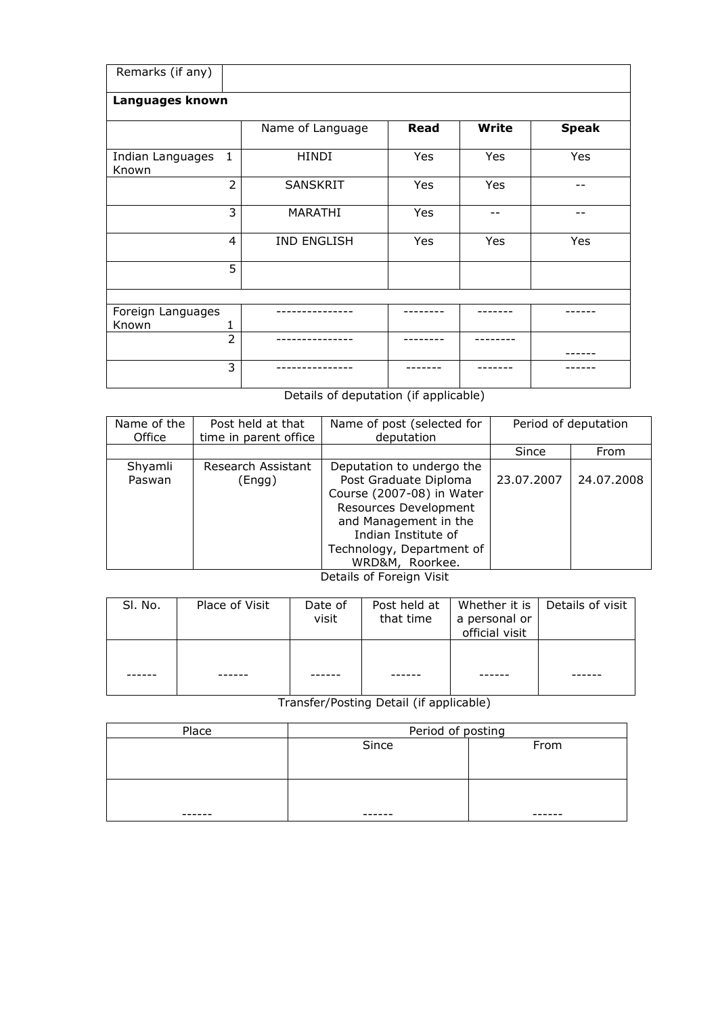| Remarks (if any)           |                |                    |             |              |              |  |  |  |
|----------------------------|----------------|--------------------|-------------|--------------|--------------|--|--|--|
| Languages known            |                |                    |             |              |              |  |  |  |
|                            |                | Name of Language   | <b>Read</b> | <b>Write</b> | <b>Speak</b> |  |  |  |
| Indian Languages<br>Known  | 1              | <b>HINDI</b>       | Yes         | Yes          | Yes          |  |  |  |
|                            | 2              | <b>SANSKRIT</b>    | Yes         | Yes          |              |  |  |  |
|                            | 3              | <b>MARATHI</b>     | Yes         |              |              |  |  |  |
|                            | $\overline{4}$ | <b>IND ENGLISH</b> | Yes         | Yes          | Yes          |  |  |  |
|                            | 5              |                    |             |              |              |  |  |  |
|                            |                |                    |             |              |              |  |  |  |
| Foreign Languages<br>Known | 1              |                    |             |              |              |  |  |  |
|                            | $\overline{2}$ |                    |             |              |              |  |  |  |
|                            | 3              |                    |             |              |              |  |  |  |

Details of deputation (if applicable)

| Name of the<br>Office | Post held at that<br>time in parent office | Name of post (selected for<br>deputation                                                                                                                                                                 |            | Period of deputation |
|-----------------------|--------------------------------------------|----------------------------------------------------------------------------------------------------------------------------------------------------------------------------------------------------------|------------|----------------------|
|                       |                                            |                                                                                                                                                                                                          | Since      | From                 |
| Shyamli<br>Paswan     | Research Assistant<br>(Engg)               | Deputation to undergo the<br>Post Graduate Diploma<br>Course (2007-08) in Water<br>Resources Development<br>and Management in the<br>Indian Institute of<br>Technology, Department of<br>WRD&M, Roorkee. | 23.07.2007 | 24.07.2008           |

Details of Foreign Visit

| SI. No. | Place of Visit | Date of<br>visit | Post held at  <br>that time | a personal or<br>official visit | Whether it is   Details of visit |
|---------|----------------|------------------|-----------------------------|---------------------------------|----------------------------------|
|         |                |                  |                             |                                 |                                  |

Transfer/Posting Detail (if applicable)

| Place  | Period of posting |      |  |  |  |
|--------|-------------------|------|--|--|--|
|        | Since             | From |  |  |  |
|        |                   |      |  |  |  |
|        |                   |      |  |  |  |
|        |                   |      |  |  |  |
|        |                   |      |  |  |  |
| ------ | ------            |      |  |  |  |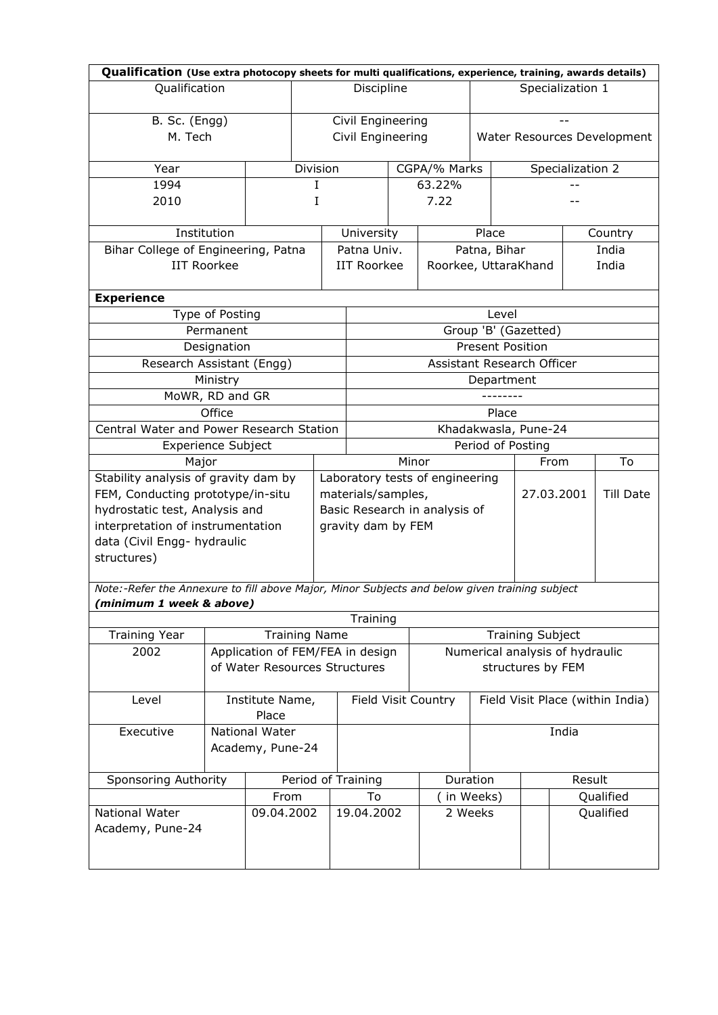| Qualification (Use extra photocopy sheets for multi qualifications, experience, training, awards details) |                    |                                  |                      |          |                                                                                         |       |                            |                         |                                 |                                 |                                  |  |
|-----------------------------------------------------------------------------------------------------------|--------------------|----------------------------------|----------------------|----------|-----------------------------------------------------------------------------------------|-------|----------------------------|-------------------------|---------------------------------|---------------------------------|----------------------------------|--|
| Qualification                                                                                             |                    |                                  |                      |          | Discipline                                                                              |       |                            |                         | Specialization 1                |                                 |                                  |  |
| B. Sc. (Engg)                                                                                             |                    |                                  |                      |          | Civil Engineering                                                                       |       |                            |                         |                                 |                                 |                                  |  |
| M. Tech                                                                                                   |                    |                                  |                      |          | Civil Engineering<br>Water Resources Development                                        |       |                            |                         |                                 |                                 |                                  |  |
|                                                                                                           |                    |                                  |                      |          |                                                                                         |       |                            |                         |                                 |                                 |                                  |  |
| Year                                                                                                      |                    |                                  |                      | Division |                                                                                         |       | CGPA/% Marks               |                         |                                 | Specialization 2                |                                  |  |
| 1994                                                                                                      |                    |                                  | I                    |          |                                                                                         |       | 63.22%                     |                         |                                 |                                 |                                  |  |
| 2010                                                                                                      |                    |                                  | I                    |          |                                                                                         |       | 7.22                       |                         |                                 |                                 |                                  |  |
|                                                                                                           | Institution        |                                  |                      |          | University                                                                              |       |                            | Place                   |                                 |                                 | Country                          |  |
| Bihar College of Engineering, Patna                                                                       |                    |                                  |                      |          | Patna Univ.                                                                             |       |                            | Patna, Bihar            |                                 |                                 | India                            |  |
|                                                                                                           | <b>IIT Roorkee</b> |                                  |                      |          | <b>IIT Roorkee</b>                                                                      |       | Roorkee, UttaraKhand       |                         |                                 |                                 | India                            |  |
| <b>Experience</b>                                                                                         |                    |                                  |                      |          |                                                                                         |       |                            |                         |                                 |                                 |                                  |  |
|                                                                                                           | Type of Posting    |                                  |                      |          |                                                                                         |       |                            | Level                   |                                 |                                 |                                  |  |
|                                                                                                           | Permanent          |                                  |                      |          |                                                                                         |       |                            | Group 'B' (Gazetted)    |                                 |                                 |                                  |  |
|                                                                                                           | Designation        |                                  |                      |          |                                                                                         |       |                            | <b>Present Position</b> |                                 |                                 |                                  |  |
| Research Assistant (Engg)                                                                                 |                    |                                  |                      |          |                                                                                         |       | Assistant Research Officer |                         |                                 |                                 |                                  |  |
|                                                                                                           | Ministry           |                                  |                      |          |                                                                                         |       |                            | Department              |                                 |                                 |                                  |  |
| MoWR, RD and GR                                                                                           |                    |                                  |                      |          |                                                                                         |       |                            | .                       |                                 |                                 |                                  |  |
|                                                                                                           | Office             |                                  |                      |          | Place<br>Khadakwasla, Pune-24                                                           |       |                            |                         |                                 |                                 |                                  |  |
| Central Water and Power Research Station                                                                  |                    |                                  |                      |          |                                                                                         |       |                            |                         |                                 |                                 |                                  |  |
| <b>Experience Subject</b><br>Major                                                                        |                    |                                  |                      |          |                                                                                         | Minor |                            |                         | Period of Posting<br>To<br>From |                                 |                                  |  |
| Stability analysis of gravity dam by                                                                      |                    |                                  |                      |          |                                                                                         |       |                            |                         |                                 |                                 |                                  |  |
| FEM, Conducting prototype/in-situ                                                                         |                    |                                  |                      |          | Laboratory tests of engineering<br>materials/samples,<br>27.03.2001<br><b>Till Date</b> |       |                            |                         |                                 |                                 |                                  |  |
| hydrostatic test, Analysis and                                                                            |                    |                                  |                      |          | Basic Research in analysis of                                                           |       |                            |                         |                                 |                                 |                                  |  |
| interpretation of instrumentation                                                                         |                    |                                  |                      |          | gravity dam by FEM                                                                      |       |                            |                         |                                 |                                 |                                  |  |
| data (Civil Engg- hydraulic                                                                               |                    |                                  |                      |          |                                                                                         |       |                            |                         |                                 |                                 |                                  |  |
| structures)                                                                                               |                    |                                  |                      |          |                                                                                         |       |                            |                         |                                 |                                 |                                  |  |
| Note:-Refer the Annexure to fill above Major, Minor Subjects and below given training subject             |                    |                                  |                      |          |                                                                                         |       |                            |                         |                                 |                                 |                                  |  |
| (minimum 1 week & above)                                                                                  |                    |                                  |                      |          |                                                                                         |       |                            |                         |                                 |                                 |                                  |  |
|                                                                                                           |                    |                                  |                      |          | Training                                                                                |       |                            |                         |                                 |                                 |                                  |  |
| <b>Training Year</b>                                                                                      |                    |                                  | <b>Training Name</b> |          | <b>Training Subject</b>                                                                 |       |                            |                         |                                 |                                 |                                  |  |
| 2002                                                                                                      |                    | Application of FEM/FEA in design |                      |          |                                                                                         |       |                            |                         |                                 | Numerical analysis of hydraulic |                                  |  |
|                                                                                                           |                    | of Water Resources Structures    |                      |          |                                                                                         |       |                            |                         |                                 | structures by FEM               |                                  |  |
| Level                                                                                                     |                    | Institute Name,                  |                      |          |                                                                                         |       | Field Visit Country        |                         |                                 |                                 | Field Visit Place (within India) |  |
| Place                                                                                                     |                    |                                  |                      |          |                                                                                         |       |                            |                         |                                 |                                 |                                  |  |
| Executive<br>National Water                                                                               |                    |                                  |                      |          |                                                                                         |       |                            |                         |                                 | India                           |                                  |  |
| Academy, Pune-24                                                                                          |                    |                                  |                      |          |                                                                                         |       |                            |                         |                                 |                                 |                                  |  |
| Sponsoring Authority                                                                                      |                    |                                  |                      |          | Period of Training                                                                      |       | Duration                   |                         |                                 | Result                          |                                  |  |
|                                                                                                           |                    | From                             |                      |          | To                                                                                      |       |                            | in Weeks)               |                                 |                                 | Qualified                        |  |
| National Water                                                                                            |                    | 09.04.2002                       |                      |          | 19.04.2002                                                                              |       | 2 Weeks                    |                         |                                 |                                 | Qualified                        |  |
| Academy, Pune-24                                                                                          |                    |                                  |                      |          |                                                                                         |       |                            |                         |                                 |                                 |                                  |  |
|                                                                                                           |                    |                                  |                      |          |                                                                                         |       |                            |                         |                                 |                                 |                                  |  |
|                                                                                                           |                    |                                  |                      |          |                                                                                         |       |                            |                         |                                 |                                 |                                  |  |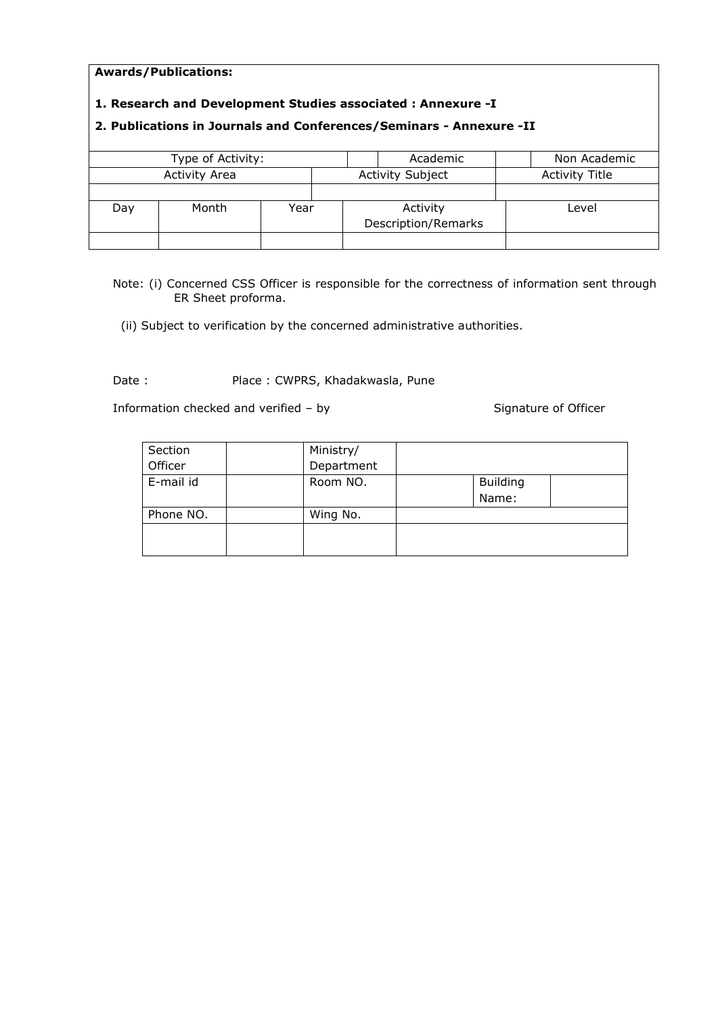#### Awards/Publications:

### 1. Research and Development Studies associated : Annexure -I

### 2. Publications in Journals and Conferences/Seminars - Annexure -II

|     | Type of Activity:    |      |  | Academic                | Non Academic          |
|-----|----------------------|------|--|-------------------------|-----------------------|
|     | <b>Activity Area</b> |      |  | <b>Activity Subject</b> | <b>Activity Title</b> |
|     |                      |      |  |                         |                       |
| Day | Month                | Year |  | Activity                | Level                 |
|     |                      |      |  | Description/Remarks     |                       |
|     |                      |      |  |                         |                       |

Note: (i) Concerned CSS Officer is responsible for the correctness of information sent through ER Sheet proforma.

(ii) Subject to verification by the concerned administrative authorities.

Date : Place : CWPRS, Khadakwasla, Pune

Information checked and verified – by Signature of Officer

| Section   | Ministry/  |  |                 |  |  |
|-----------|------------|--|-----------------|--|--|
| Officer   | Department |  |                 |  |  |
| E-mail id | Room NO.   |  | <b>Building</b> |  |  |
|           |            |  | Name:           |  |  |
| Phone NO. | Wing No.   |  |                 |  |  |
|           |            |  |                 |  |  |
|           |            |  |                 |  |  |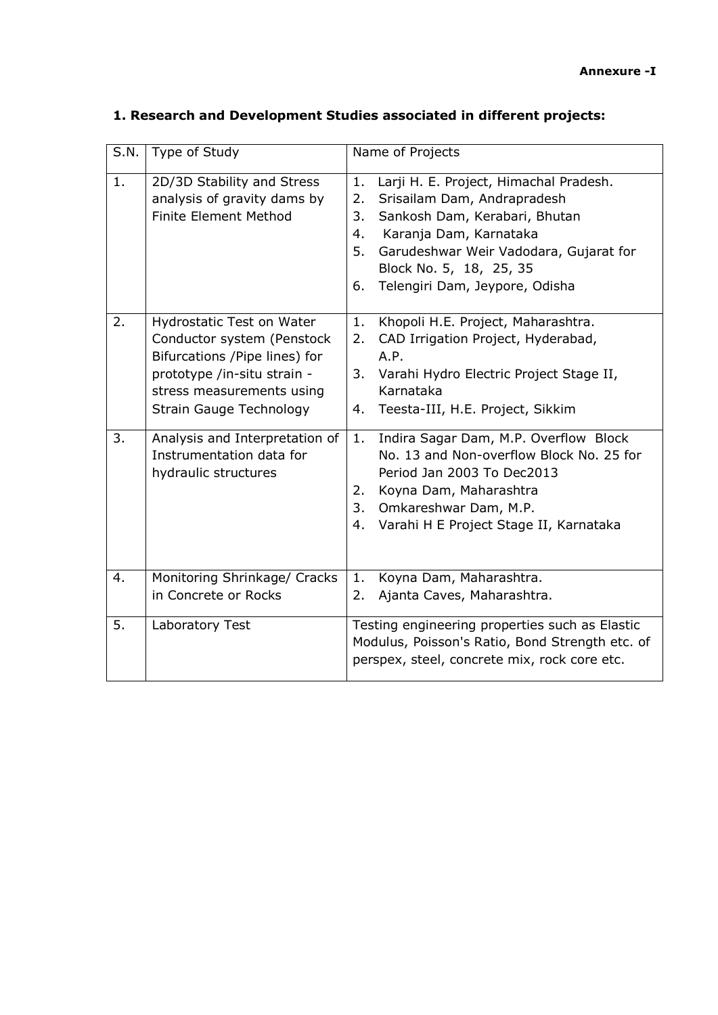| S.N. | Type of Study                                                                                                                                                                          | Name of Projects                                                                                                                                                                                                                                                            |  |  |
|------|----------------------------------------------------------------------------------------------------------------------------------------------------------------------------------------|-----------------------------------------------------------------------------------------------------------------------------------------------------------------------------------------------------------------------------------------------------------------------------|--|--|
| 1.   | 2D/3D Stability and Stress<br>analysis of gravity dams by<br>Finite Element Method                                                                                                     | Larji H. E. Project, Himachal Pradesh.<br>1.<br>Srisailam Dam, Andrapradesh<br>2.<br>3.<br>Sankosh Dam, Kerabari, Bhutan<br>Karanja Dam, Karnataka<br>4.<br>5.<br>Garudeshwar Weir Vadodara, Gujarat for<br>Block No. 5, 18, 25, 35<br>Telengiri Dam, Jeypore, Odisha<br>6. |  |  |
| 2.   | Hydrostatic Test on Water<br>Conductor system (Penstock<br>Bifurcations /Pipe lines) for<br>prototype /in-situ strain -<br>stress measurements using<br><b>Strain Gauge Technology</b> | Khopoli H.E. Project, Maharashtra.<br>1.<br>CAD Irrigation Project, Hyderabad,<br>2.<br>A.P.<br>3.<br>Varahi Hydro Electric Project Stage II,<br>Karnataka<br>Teesta-III, H.E. Project, Sikkim<br>4.                                                                        |  |  |
| 3.   | Analysis and Interpretation of<br>Instrumentation data for<br>hydraulic structures                                                                                                     | Indira Sagar Dam, M.P. Overflow Block<br>1.<br>No. 13 and Non-overflow Block No. 25 for<br>Period Jan 2003 To Dec2013<br>Koyna Dam, Maharashtra<br>2.<br>Omkareshwar Dam, M.P.<br>3.<br>Varahi H E Project Stage II, Karnataka<br>4.                                        |  |  |
| 4.   | Monitoring Shrinkage/ Cracks<br>in Concrete or Rocks                                                                                                                                   | 1.<br>Koyna Dam, Maharashtra.<br>Ajanta Caves, Maharashtra.<br>2.                                                                                                                                                                                                           |  |  |
| 5.   | Laboratory Test                                                                                                                                                                        | Testing engineering properties such as Elastic<br>Modulus, Poisson's Ratio, Bond Strength etc. of<br>perspex, steel, concrete mix, rock core etc.                                                                                                                           |  |  |

# 1. Research and Development Studies associated in different projects: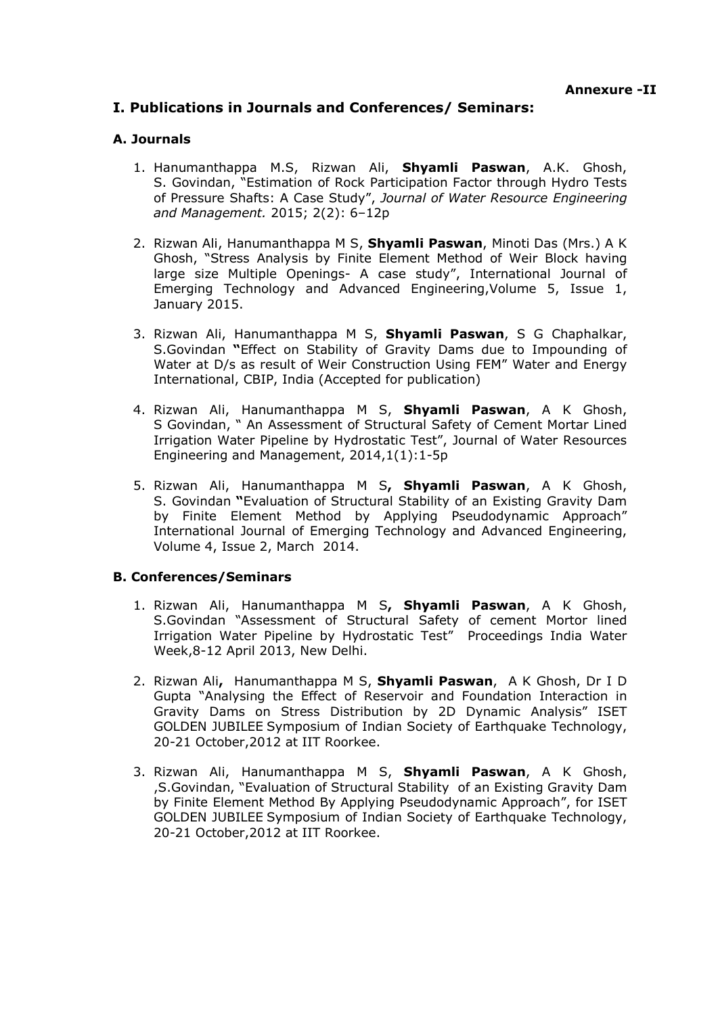## I. Publications in Journals and Conferences/ Seminars:

### A. Journals

- 1. Hanumanthappa M.S. Rizwan Ali. Shvamli Paswan, A.K. Ghosh, S. Govindan, "Estimation of Rock Participation Factor through Hydro Tests of Pressure Shafts: A Case Study", *Journal of Water Resource Engineering and Management.* 2015; 2(2): 6–12p
- 2. Rizwan Ali, Hanumanthappa M S, Shyamli Paswan, Minoti Das (Mrs.) A K Ghosh, "Stress Analysis by Finite Element Method of Weir Block having large size Multiple Openings- A case study", International Journal of Emerging Technology and Advanced Engineering,Volume 5, Issue 1, January 2015.
- 3. Rizwan Ali, Hanumanthappa M S, Shyamli Paswan, S G Chaphalkar, S.Govindan "Effect on Stability of Gravity Dams due to Impounding of Water at D/s as result of Weir Construction Using FEM" Water and Energy International, CBIP, India (Accepted for publication)
- 4. Rizwan Ali, Hanumanthappa M S, Shyamli Paswan, A K Ghosh, S Govindan, " An Assessment of Structural Safety of Cement Mortar Lined Irrigation Water Pipeline by Hydrostatic Test", Journal of Water Resources Engineering and Management, 2014,1(1):1-5p
- 5. Rizwan Ali, Hanumanthappa M S, Shyamli Paswan, A K Ghosh, S. Govindan "Evaluation of Structural Stability of an Existing Gravity Dam by Finite Element Method by Applying Pseudodynamic Approach" International Journal of Emerging Technology and Advanced Engineering, Volume 4, Issue 2, March 2014.

### B. Conferences/Seminars

- 1. Rizwan Ali, Hanumanthappa M S, Shyamli Paswan, A K Ghosh, S.Govindan "Assessment of Structural Safety of cement Mortor lined Irrigation Water Pipeline by Hydrostatic Test" Proceedings India Water Week,8-12 April 2013, New Delhi.
- 2. Rizwan Ali, Hanumanthappa M S, Shyamli Paswan, A K Ghosh, Dr I D Gupta "Analysing the Effect of Reservoir and Foundation Interaction in Gravity Dams on Stress Distribution by 2D Dynamic Analysis" ISET GOLDEN JUBILEE Symposium of Indian Society of Earthquake Technology, 20-21 October,2012 at IIT Roorkee.
- 3. Rizwan Ali, Hanumanthappa M S, Shyamli Paswan, A K Ghosh, ,S.Govindan, "Evaluation of Structural Stability of an Existing Gravity Dam by Finite Element Method By Applying Pseudodynamic Approach", for ISET GOLDEN JUBILEE Symposium of Indian Society of Earthquake Technology, 20-21 October,2012 at IIT Roorkee.